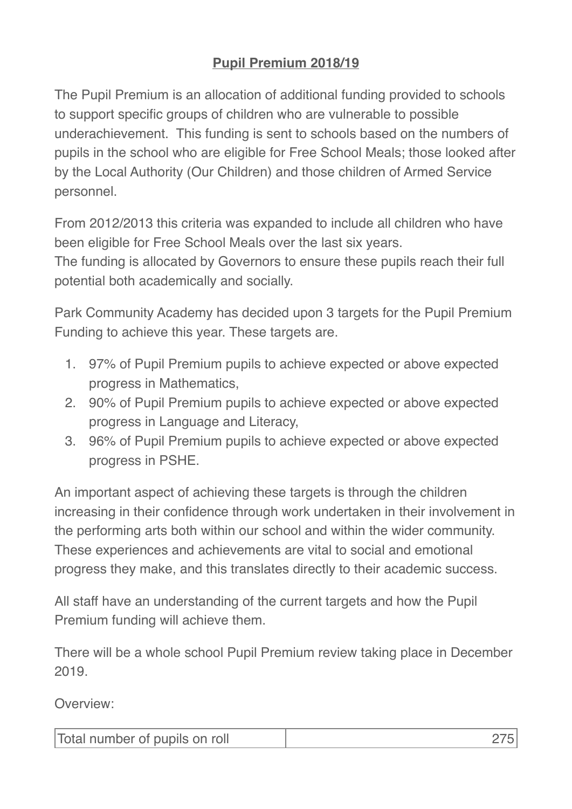## **Pupil Premium 2018/19**

The Pupil Premium is an allocation of additional funding provided to schools to support specific groups of children who are vulnerable to possible underachievement. This funding is sent to schools based on the numbers of pupils in the school who are eligible for Free School Meals; those looked after by the Local Authority (Our Children) and those children of Armed Service personnel.

From 2012/2013 this criteria was expanded to include all children who have been eligible for Free School Meals over the last six years.

The funding is allocated by Governors to ensure these pupils reach their full potential both academically and socially.

Park Community Academy has decided upon 3 targets for the Pupil Premium Funding to achieve this year. These targets are.

- 1. 97% of Pupil Premium pupils to achieve expected or above expected progress in Mathematics,
- 2. 90% of Pupil Premium pupils to achieve expected or above expected progress in Language and Literacy,
- 3. 96% of Pupil Premium pupils to achieve expected or above expected progress in PSHE.

An important aspect of achieving these targets is through the children increasing in their confidence through work undertaken in their involvement in the performing arts both within our school and within the wider community. These experiences and achievements are vital to social and emotional progress they make, and this translates directly to their academic success.

All staff have an understanding of the current targets and how the Pupil Premium funding will achieve them.

There will be a whole school Pupil Premium review taking place in December 2019.

Overview:

| Total number of pupils on roll |  |
|--------------------------------|--|
|--------------------------------|--|